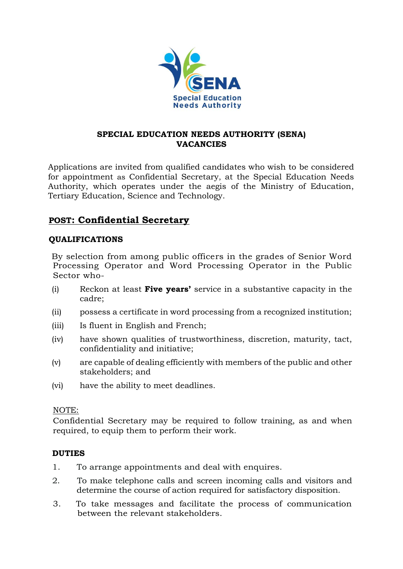

### **SPECIAL EDUCATION NEEDS AUTHORITY (SENA) VACANCIES**

Applications are invited from qualified candidates who wish to be considered for appointment as Confidential Secretary, at the Special Education Needs Authority, which operates under the aegis of the Ministry of Education, Tertiary Education, Science and Technology.

# **POST: Confidential Secretary**

## **QUALIFICATIONS**

 By selection from among public officers in the grades of Senior Word Processing Operator and Word Processing Operator in the Public Sector who-

- (i) Reckon at least **Five years'** service in a substantive capacity in the cadre;
- (ii) possess a certificate in word processing from a recognized institution;
- (iii) Is fluent in English and French;
- (iv) have shown qualities of trustworthiness, discretion, maturity, tact, confidentiality and initiative;
- (v) are capable of dealing efficiently with members of the public and other stakeholders; and
- (vi) have the ability to meet deadlines.

#### NOTE:

Confidential Secretary may be required to follow training, as and when required, to equip them to perform their work.

#### **DUTIES**

- 1. To arrange appointments and deal with enquires.
- 2. To make telephone calls and screen incoming calls and visitors and determine the course of action required for satisfactory disposition.
- 3. To take messages and facilitate the process of communication between the relevant stakeholders.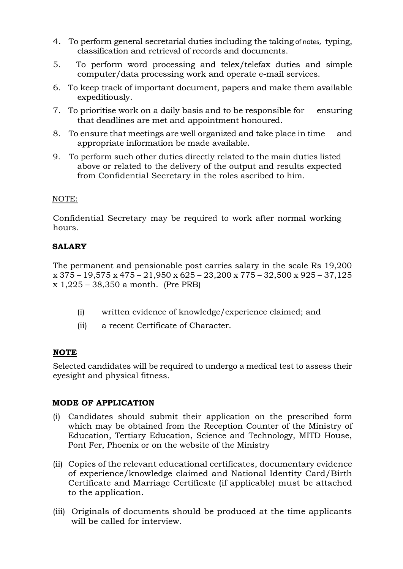- 4. To perform general secretarial duties including the taking of notes, typing, classification and retrieval of records and documents.
- 5. To perform word processing and telex/telefax duties and simple computer/data processing work and operate e-mail services.
- 6. To keep track of important document, papers and make them available expeditiously.
- 7. To prioritise work on a daily basis and to be responsible for ensuring that deadlines are met and appointment honoured.
- 8. To ensure that meetings are well organized and take place in time and appropriate information be made available.
- 9. To perform such other duties directly related to the main duties listed above or related to the delivery of the output and results expected from Confidential Secretary in the roles ascribed to him.

#### NOTE:

Confidential Secretary may be required to work after normal working hours.

## **SALARY**

The permanent and pensionable post carries salary in the scale Rs 19,200 x 375 – 19,575 x 475 – 21,950 x 625 – 23,200 x 775 – 32,500 x 925 – 37,125 x 1,225 – 38,350 a month. (Pre PRB)

- (i) written evidence of knowledge/experience claimed; and
- (ii) a recent Certificate of Character.

## **NOTE**

Selected candidates will be required to undergo a medical test to assess their eyesight and physical fitness.

## **MODE OF APPLICATION**

- (i) Candidates should submit their application on the prescribed form which may be obtained from the Reception Counter of the Ministry of Education, Tertiary Education, Science and Technology, MITD House, Pont Fer, Phoenix or on the website of the Ministry
- (ii) Copies of the relevant educational certificates, documentary evidence of experience/knowledge claimed and National Identity Card/Birth Certificate and Marriage Certificate (if applicable) must be attached to the application.
- (iii) Originals of documents should be produced at the time applicants will be called for interview.